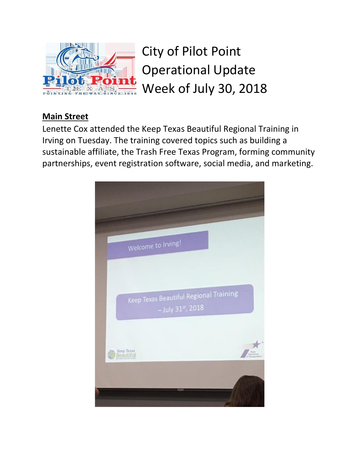

City of Pilot Point Operational Update Week of July 30, 2018

## **Main Street**

Lenette Cox attended the Keep Texas Beautiful Regional Training in Irving on Tuesday. The training covered topics such as building a sustainable affiliate, the Trash Free Texas Program, forming community partnerships, event registration software, social media, and marketing.

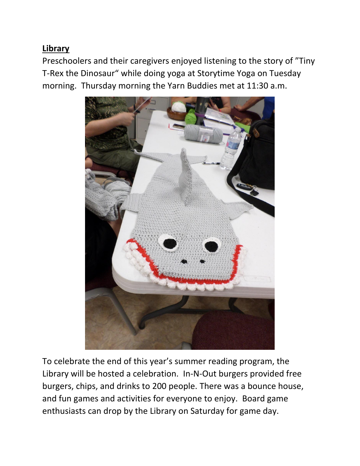## **Library**

Preschoolers and their caregivers enjoyed listening to the story of "Tiny T-Rex the Dinosaur" while doing yoga at Storytime Yoga on Tuesday morning. Thursday morning the Yarn Buddies met at 11:30 a.m.



To celebrate the end of this year's summer reading program, the Library will be hosted a celebration. In-N-Out burgers provided free burgers, chips, and drinks to 200 people. There was a bounce house, and fun games and activities for everyone to enjoy. Board game enthusiasts can drop by the Library on Saturday for game day.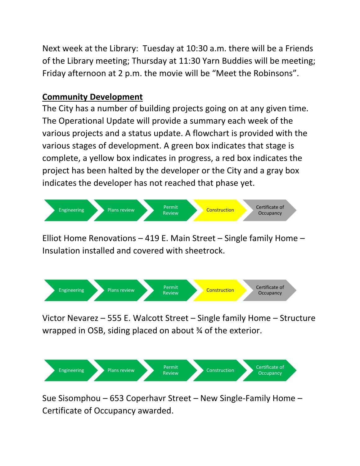Next week at the Library: Tuesday at 10:30 a.m. there will be a Friends of the Library meeting; Thursday at 11:30 Yarn Buddies will be meeting; Friday afternoon at 2 p.m. the movie will be "Meet the Robinsons".

## **Community Development**

The City has a number of building projects going on at any given time. The Operational Update will provide a summary each week of the various projects and a status update. A flowchart is provided with the various stages of development. A green box indicates that stage is complete, a yellow box indicates in progress, a red box indicates the project has been halted by the developer or the City and a gray box indicates the developer has not reached that phase yet.



Elliot Home Renovations – 419 E. Main Street – Single family Home – Insulation installed and covered with sheetrock.



Victor Nevarez – 555 E. Walcott Street – Single family Home – Structure wrapped in OSB, siding placed on about ¾ of the exterior.



Sue Sisomphou – 653 Coperhavr Street – New Single-Family Home – Certificate of Occupancy awarded.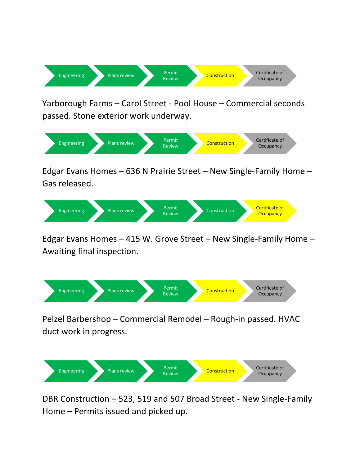

Yarborough Farms – Carol Street - Pool House – Commercial seconds passed. Stone exterior work underway.



Edgar Evans Homes – 636 N Prairie Street – New Single-Family Home – Gas released.



Edgar Evans Homes – 415 W. Grove Street – New Single-Family Home – Awaiting final inspection.



Pelzel Barbershop – Commercial Remodel – Rough-in passed. HVAC duct work in progress.



DBR Construction – 523, 519 and 507 Broad Street - New Single-Family Home – Permits issued and picked up.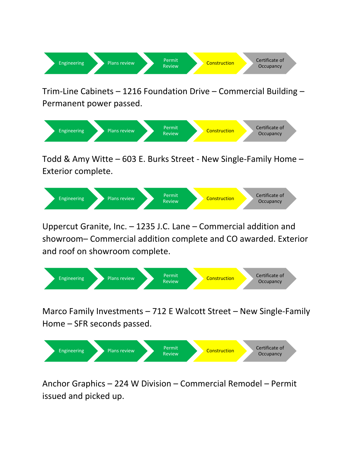

Trim-Line Cabinets – 1216 Foundation Drive – Commercial Building – Permanent power passed.



Todd & Amy Witte – 603 E. Burks Street - New Single-Family Home – Exterior complete.



Uppercut Granite, Inc. – 1235 J.C. Lane – Commercial addition and showroom– Commercial addition complete and CO awarded. Exterior and roof on showroom complete.



Marco Family Investments – 712 E Walcott Street – New Single-Family Home – SFR seconds passed.



Anchor Graphics – 224 W Division – Commercial Remodel – Permit issued and picked up.